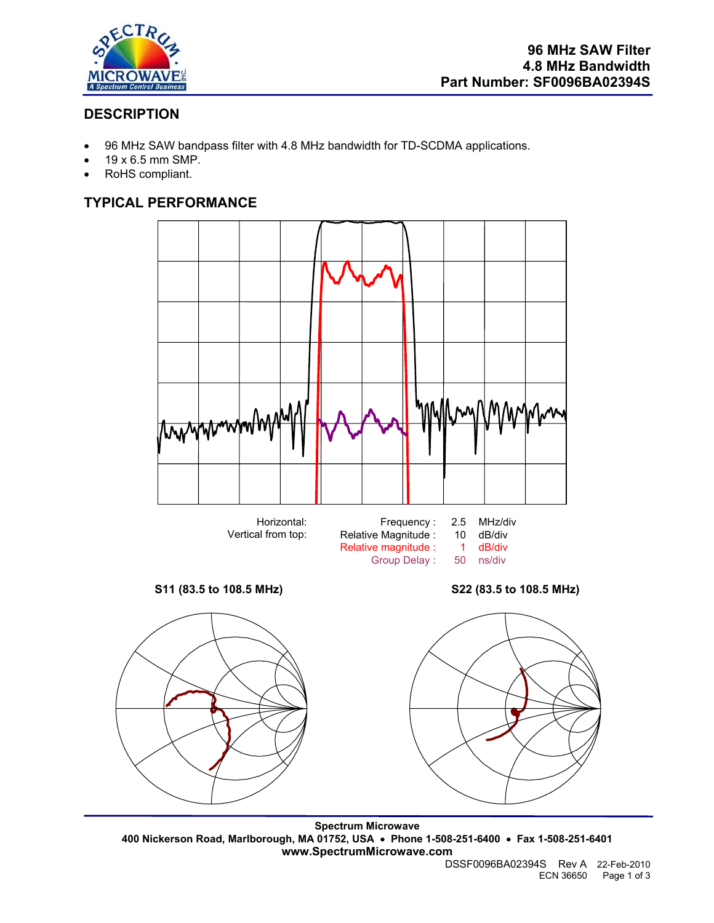

# **DESCRIPTION**

- 96 MHz SAW bandpass filter with 4.8 MHz bandwidth for TD-SCDMA applications.
- 19 x 6.5 mm SMP.
- RoHS compliant.

# **TYPICAL PERFORMANCE**



**Spectrum Microwave 400 Nickerson Road, Marlborough, MA 01752, USA** • **Phone 1-508-251-6400** • **Fax 1-508-251-6401 www.SpectrumMicrowave.com** 

DSSF0096BA02394S Rev A 22-Feb-2010 ECN 36650 Page 1 of 3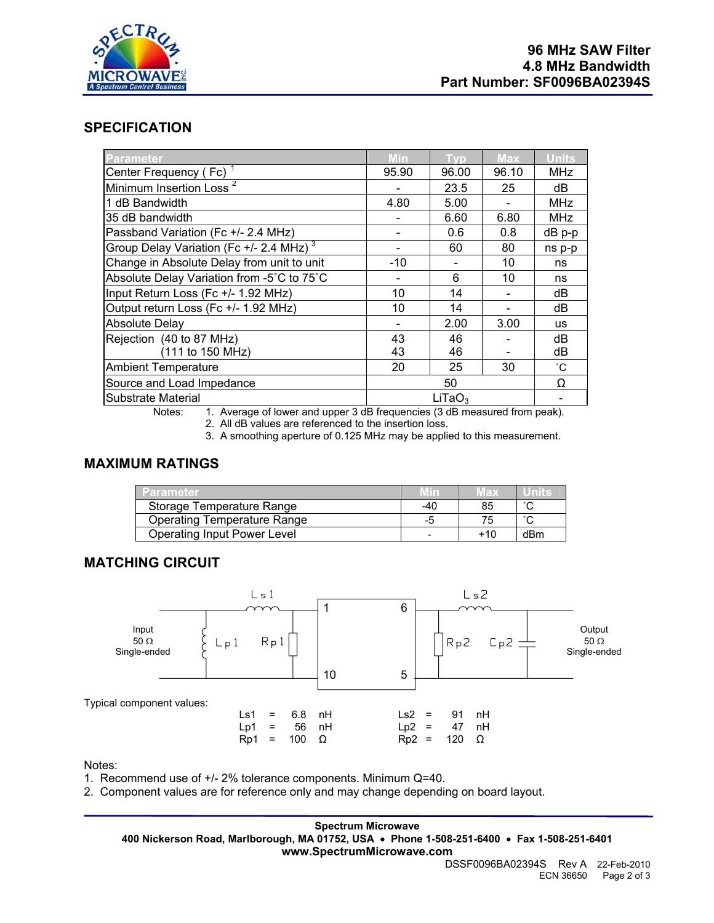

## **SPECIFICATION**

| Parameter                                           | Min                | Tvp   | Max   | <b>Units</b> |
|-----------------------------------------------------|--------------------|-------|-------|--------------|
| Center Frequency (Fc) <sup>1</sup>                  | 95.90              | 96.00 | 96.10 | <b>MHz</b>   |
| Minimum Insertion Loss <sup>2</sup>                 |                    | 23.5  | 25    | dB           |
| 1 dB Bandwidth                                      | 4.80               | 5.00  |       | <b>MHz</b>   |
| 35 dB bandwidth                                     |                    | 6.60  | 6.80  | <b>MHz</b>   |
| Passband Variation (Fc +/- 2.4 MHz)                 |                    | 0.6   | 0.8   | dB p-p       |
| Group Delay Variation (Fc +/- 2.4 MHz) <sup>3</sup> |                    | 60    | 80    | ns p-p       |
| Change in Absolute Delay from unit to unit          | -10                |       | 10    | ns           |
| Absolute Delay Variation from -5°C to 75°C          |                    | 6     | 10    | ns           |
| Input Return Loss (Fc +/- 1.92 MHz)                 | 10                 | 14    |       | dB           |
| Output return Loss (Fc +/- 1.92 MHz)                | 10                 | 14    |       | dB           |
| <b>Absolute Delay</b>                               |                    | 2.00  | 3.00  | us           |
| Rejection (40 to 87 MHz)                            | 43                 | 46    |       | dB           |
| (111 to 150 MHz)                                    | 43                 | 46    |       | dB           |
| <b>Ambient Temperature</b>                          | 20                 | 25    | 30    | $^{\circ}$ C |
| Source and Load Impedance                           | 50                 |       |       | Ω            |
| Substrate Material                                  | LiTaO <sub>3</sub> |       |       |              |

Notes: 1. Average of lower and upper 3 dB frequencies (3 dB measured from peak).

2. All dB values are referenced to the insertion loss.

3. A smoothing aperture of 0.125 MHz may be applied to this measurement.

## **MAXIMUM RATINGS**

| ⁄Parameter <b>/</b>                |     | <b>Max</b> |     |
|------------------------------------|-----|------------|-----|
| Storage Temperature Range          | -40 | 85         |     |
| Operating Temperature Range        | -5  |            |     |
| <b>Operating Input Power Level</b> | -   | +10        | dBm |

### **MATCHING CIRCUIT**



Notes:

1. Recommend use of +/- 2% tolerance components. Minimum Q=40.

2. Component values are for reference only and may change depending on board layout.

#### **Spectrum Microwave**

**400 Nickerson Road, Marlborough, MA 01752, USA** • **Phone 1-508-251-6400** • **Fax 1-508-251-6401 www.SpectrumMicrowave.com**